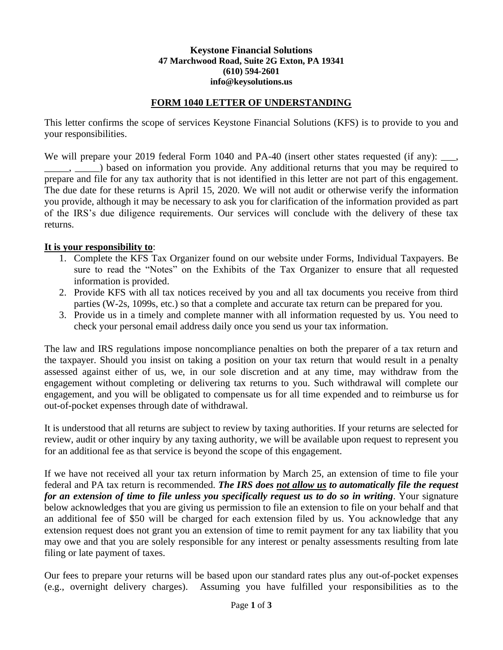## **Keystone Financial Solutions 47 Marchwood Road, Suite 2G Exton, PA 19341 (610) 594-2601 info@keysolutions.us**

## **FORM 1040 LETTER OF UNDERSTANDING**

This letter confirms the scope of services Keystone Financial Solutions (KFS) is to provide to you and your responsibilities.

We will prepare your 2019 federal Form 1040 and PA-40 (insert other states requested (if any): \_\_\_, ) based on information you provide. Any additional returns that you may be required to prepare and file for any tax authority that is not identified in this letter are not part of this engagement. The due date for these returns is April 15, 2020. We will not audit or otherwise verify the information you provide, although it may be necessary to ask you for clarification of the information provided as part of the IRS's due diligence requirements. Our services will conclude with the delivery of these tax returns.

## **It is your responsibility to**:

- 1. Complete the KFS Tax Organizer found on our website under Forms, Individual Taxpayers. Be sure to read the "Notes" on the Exhibits of the Tax Organizer to ensure that all requested information is provided.
- 2. Provide KFS with all tax notices received by you and all tax documents you receive from third parties (W-2s, 1099s, etc.) so that a complete and accurate tax return can be prepared for you.
- 3. Provide us in a timely and complete manner with all information requested by us. You need to check your personal email address daily once you send us your tax information.

The law and IRS regulations impose noncompliance penalties on both the preparer of a tax return and the taxpayer. Should you insist on taking a position on your tax return that would result in a penalty assessed against either of us, we, in our sole discretion and at any time, may withdraw from the engagement without completing or delivering tax returns to you. Such withdrawal will complete our engagement, and you will be obligated to compensate us for all time expended and to reimburse us for out-of-pocket expenses through date of withdrawal.

It is understood that all returns are subject to review by taxing authorities. If your returns are selected for review, audit or other inquiry by any taxing authority, we will be available upon request to represent you for an additional fee as that service is beyond the scope of this engagement.

If we have not received all your tax return information by March 25, an extension of time to file your federal and PA tax return is recommended. *The IRS does not allow us to automatically file the request for an extension of time to file unless you specifically request us to do so in writing*. Your signature below acknowledges that you are giving us permission to file an extension to file on your behalf and that an additional fee of \$50 will be charged for each extension filed by us. You acknowledge that any extension request does not grant you an extension of time to remit payment for any tax liability that you may owe and that you are solely responsible for any interest or penalty assessments resulting from late filing or late payment of taxes.

Our fees to prepare your returns will be based upon our standard rates plus any out-of-pocket expenses (e.g., overnight delivery charges). Assuming you have fulfilled your responsibilities as to the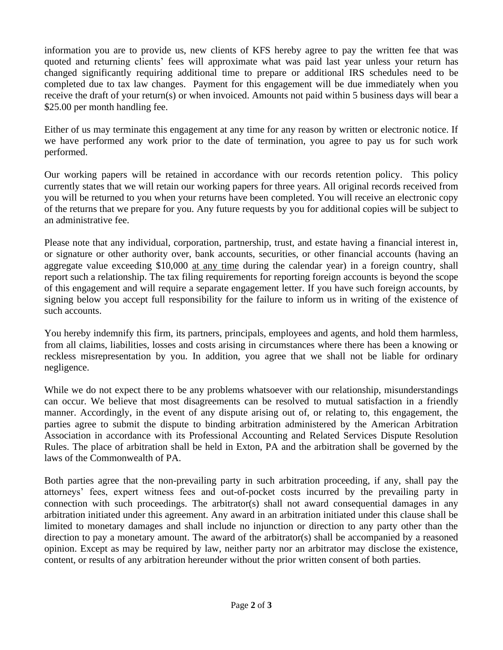information you are to provide us, new clients of KFS hereby agree to pay the written fee that was quoted and returning clients' fees will approximate what was paid last year unless your return has changed significantly requiring additional time to prepare or additional IRS schedules need to be completed due to tax law changes. Payment for this engagement will be due immediately when you receive the draft of your return(s) or when invoiced. Amounts not paid within 5 business days will bear a \$25.00 per month handling fee.

Either of us may terminate this engagement at any time for any reason by written or electronic notice. If we have performed any work prior to the date of termination, you agree to pay us for such work performed.

Our working papers will be retained in accordance with our records retention policy. This policy currently states that we will retain our working papers for three years. All original records received from you will be returned to you when your returns have been completed. You will receive an electronic copy of the returns that we prepare for you. Any future requests by you for additional copies will be subject to an administrative fee.

Please note that any individual, corporation, partnership, trust, and estate having a financial interest in, or signature or other authority over, bank accounts, securities, or other financial accounts (having an aggregate value exceeding \$10,000 at any time during the calendar year) in a foreign country, shall report such a relationship. The tax filing requirements for reporting foreign accounts is beyond the scope of this engagement and will require a separate engagement letter. If you have such foreign accounts, by signing below you accept full responsibility for the failure to inform us in writing of the existence of such accounts.

You hereby indemnify this firm, its partners, principals, employees and agents, and hold them harmless, from all claims, liabilities, losses and costs arising in circumstances where there has been a knowing or reckless misrepresentation by you. In addition, you agree that we shall not be liable for ordinary negligence.

While we do not expect there to be any problems whatsoever with our relationship, misunderstandings can occur. We believe that most disagreements can be resolved to mutual satisfaction in a friendly manner. Accordingly, in the event of any dispute arising out of, or relating to, this engagement, the parties agree to submit the dispute to binding arbitration administered by the American Arbitration Association in accordance with its Professional Accounting and Related Services Dispute Resolution Rules. The place of arbitration shall be held in Exton, PA and the arbitration shall be governed by the laws of the Commonwealth of PA.

Both parties agree that the non-prevailing party in such arbitration proceeding, if any, shall pay the attorneys' fees, expert witness fees and out-of-pocket costs incurred by the prevailing party in connection with such proceedings. The arbitrator(s) shall not award consequential damages in any arbitration initiated under this agreement. Any award in an arbitration initiated under this clause shall be limited to monetary damages and shall include no injunction or direction to any party other than the direction to pay a monetary amount. The award of the arbitrator(s) shall be accompanied by a reasoned opinion. Except as may be required by law, neither party nor an arbitrator may disclose the existence, content, or results of any arbitration hereunder without the prior written consent of both parties.